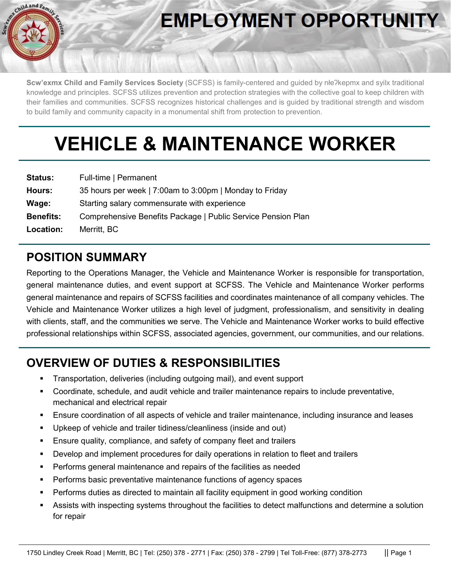

# **EMPLOYMENT OPPORTUNITY**

**Scw'exmx Child and Family Services Society** (SCFSS) is family-centered and guided by nłeʔkepmx and syilx traditional knowledge and principles. SCFSS utilizes prevention and protection strategies with the collective goal to keep children with their families and communities. SCFSS recognizes historical challenges and is guided by traditional strength and wisdom to build family and community capacity in a monumental shift from protection to prevention.

# **VEHICLE & MAINTENANCE WORKER**

| <b>Status:</b>   | Full-time   Permanent                                        |
|------------------|--------------------------------------------------------------|
| Hours:           | 35 hours per week   7:00am to 3:00pm   Monday to Friday      |
| Wage:            | Starting salary commensurate with experience                 |
| <b>Benefits:</b> | Comprehensive Benefits Package   Public Service Pension Plan |
| Location:        | Merritt, BC                                                  |

## **POSITION SUMMARY**

Reporting to the Operations Manager, the Vehicle and Maintenance Worker is responsible for transportation, general maintenance duties, and event support at SCFSS. The Vehicle and Maintenance Worker performs general maintenance and repairs of SCFSS facilities and coordinates maintenance of all company vehicles. The Vehicle and Maintenance Worker utilizes a high level of judgment, professionalism, and sensitivity in dealing with clients, staff, and the communities we serve. The Vehicle and Maintenance Worker works to build effective professional relationships within SCFSS, associated agencies, government, our communities, and our relations.

# **OVERVIEW OF DUTIES & RESPONSIBILITIES**

- Transportation, deliveries (including outgoing mail), and event support
- Coordinate, schedule, and audit vehicle and trailer maintenance repairs to include preventative, mechanical and electrical repair
- Ensure coordination of all aspects of vehicle and trailer maintenance, including insurance and leases
- Upkeep of vehicle and trailer tidiness/cleanliness (inside and out)
- **Ensure quality, compliance, and safety of company fleet and trailers**
- Develop and implement procedures for daily operations in relation to fleet and trailers
- Performs general maintenance and repairs of the facilities as needed
- Performs basic preventative maintenance functions of agency spaces
- **Performs duties as directed to maintain all facility equipment in good working condition**
- Assists with inspecting systems throughout the facilities to detect malfunctions and determine a solution for repair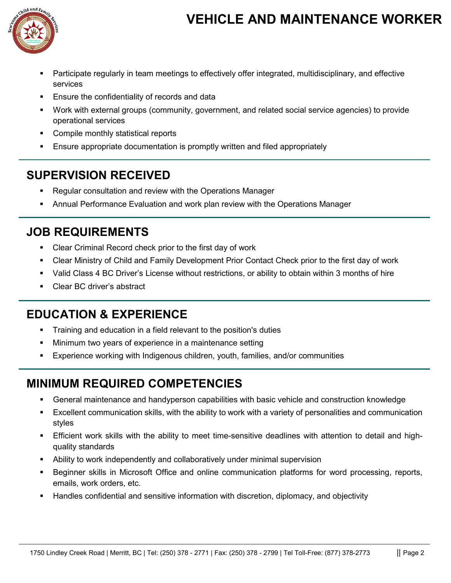# **VEHICLE AND MAINTENANCE WORKER**



- Participate regularly in team meetings to effectively offer integrated, multidisciplinary, and effective services
- Ensure the confidentiality of records and data
- Work with external groups (community, government, and related social service agencies) to provide operational services
- **EXECOMPILE MONTIFY COMPILE MONTIFY** Statistical reports
- Ensure appropriate documentation is promptly written and filed appropriately

#### **SUPERVISION RECEIVED**

- Regular consultation and review with the Operations Manager
- Annual Performance Evaluation and work plan review with the Operations Manager

#### **JOB REQUIREMENTS**

- **EXECLER** Criminal Record check prior to the first day of work
- Clear Ministry of Child and Family Development Prior Contact Check prior to the first day of work
- Valid Class 4 BC Driver's License without restrictions, or ability to obtain within 3 months of hire
- **Clear BC driver's abstract**

## **EDUCATION & EXPERIENCE**

- Training and education in a field relevant to the position's duties
- Minimum two years of experience in a maintenance setting
- Experience working with Indigenous children, youth, families, and/or communities

## **MINIMUM REQUIRED COMPETENCIES**

- General maintenance and handyperson capabilities with basic vehicle and construction knowledge
- Excellent communication skills, with the ability to work with a variety of personalities and communication styles
- Efficient work skills with the ability to meet time-sensitive deadlines with attention to detail and highquality standards
- Ability to work independently and collaboratively under minimal supervision
- Beginner skills in Microsoft Office and online communication platforms for word processing, reports, emails, work orders, etc.
- Handles confidential and sensitive information with discretion, diplomacy, and objectivity